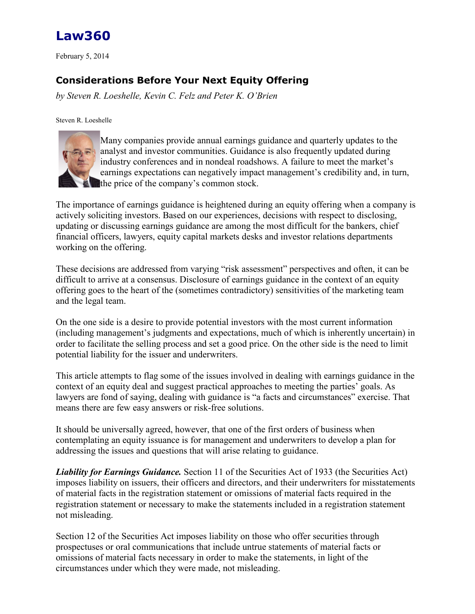

February 5, 2014

## **Considerations Before Your Next Equity Offering**

*by Steven R. Loeshelle, Kevin C. Felz and Peter K. O'Brien*

Steven R. Loeshelle



Many companies provide annual earnings guidance and quarterly updates to the analyst and investor communities. Guidance is also frequently updated during industry conferences and in nondeal roadshows. A failure to meet the market's earnings expectations can negatively impact management's credibility and, in turn, the price of the company's common stock.

The importance of earnings guidance is heightened during an equity offering when a company is actively soliciting investors. Based on our experiences, decisions with respect to disclosing, updating or discussing earnings guidance are among the most difficult for the bankers, chief financial officers, lawyers, equity capital markets desks and investor relations departments working on the offering.

These decisions are addressed from varying "risk assessment" perspectives and often, it can be difficult to arrive at a consensus. Disclosure of earnings guidance in the context of an equity offering goes to the heart of the (sometimes contradictory) sensitivities of the marketing team and the legal team.

On the one side is a desire to provide potential investors with the most current information (including management's judgments and expectations, much of which is inherently uncertain) in order to facilitate the selling process and set a good price. On the other side is the need to limit potential liability for the issuer and underwriters.

This article attempts to flag some of the issues involved in dealing with earnings guidance in the context of an equity deal and suggest practical approaches to meeting the parties' goals. As lawyers are fond of saying, dealing with guidance is "a facts and circumstances" exercise. That means there are few easy answers or risk-free solutions.

It should be universally agreed, however, that one of the first orders of business when contemplating an equity issuance is for management and underwriters to develop a plan for addressing the issues and questions that will arise relating to guidance.

*Liability for Earnings Guidance.* Section 11 of the Securities Act of 1933 (the Securities Act) imposes liability on issuers, their officers and directors, and their underwriters for misstatements of material facts in the registration statement or omissions of material facts required in the registration statement or necessary to make the statements included in a registration statement not misleading.

Section 12 of the Securities Act imposes liability on those who offer securities through prospectuses or oral communications that include untrue statements of material facts or omissions of material facts necessary in order to make the statements, in light of the circumstances under which they were made, not misleading.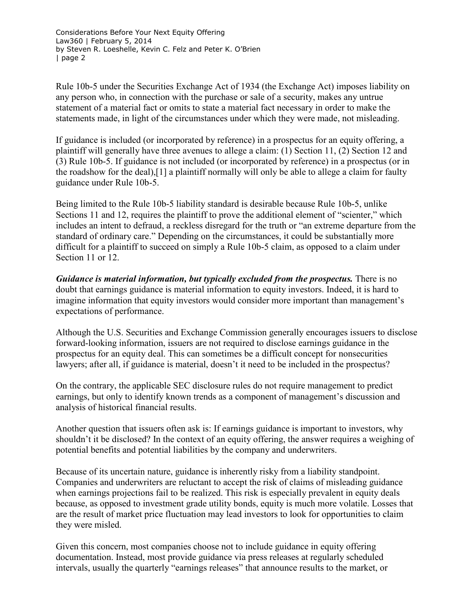Rule 10b-5 under the Securities Exchange Act of 1934 (the Exchange Act) imposes liability on any person who, in connection with the purchase or sale of a security, makes any untrue statement of a material fact or omits to state a material fact necessary in order to make the statements made, in light of the circumstances under which they were made, not misleading.

If guidance is included (or incorporated by reference) in a prospectus for an equity offering, a plaintiff will generally have three avenues to allege a claim: (1) Section 11, (2) Section 12 and (3) Rule 10b-5. If guidance is not included (or incorporated by reference) in a prospectus (or in the roadshow for the deal),[1] a plaintiff normally will only be able to allege a claim for faulty guidance under Rule 10b-5.

Being limited to the Rule 10b-5 liability standard is desirable because Rule 10b-5, unlike Sections 11 and 12, requires the plaintiff to prove the additional element of "scienter," which includes an intent to defraud, a reckless disregard for the truth or "an extreme departure from the standard of ordinary care." Depending on the circumstances, it could be substantially more difficult for a plaintiff to succeed on simply a Rule 10b-5 claim, as opposed to a claim under Section 11 or 12.

*Guidance is material information, but typically excluded from the prospectus.* There is no doubt that earnings guidance is material information to equity investors. Indeed, it is hard to imagine information that equity investors would consider more important than management's expectations of performance.

Although the U.S. [Securities and Exchange Commission](http://www.law360.com/agencies/securities-and-exchange-commission) generally encourages issuers to disclose forward-looking information, issuers are not required to disclose earnings guidance in the prospectus for an equity deal. This can sometimes be a difficult concept for nonsecurities lawyers; after all, if guidance is material, doesn't it need to be included in the prospectus?

On the contrary, the applicable SEC disclosure rules do not require management to predict earnings, but only to identify known trends as a component of management's discussion and analysis of historical financial results.

Another question that issuers often ask is: If earnings guidance is important to investors, why shouldn't it be disclosed? In the context of an equity offering, the answer requires a weighing of potential benefits and potential liabilities by the company and underwriters.

Because of its uncertain nature, guidance is inherently risky from a liability standpoint. Companies and underwriters are reluctant to accept the risk of claims of misleading guidance when earnings projections fail to be realized. This risk is especially prevalent in equity deals because, as opposed to investment grade utility bonds, equity is much more volatile. Losses that are the result of market price fluctuation may lead investors to look for opportunities to claim they were misled.

Given this concern, most companies choose not to include guidance in equity offering documentation. Instead, most provide guidance via press releases at regularly scheduled intervals, usually the quarterly "earnings releases" that announce results to the market, or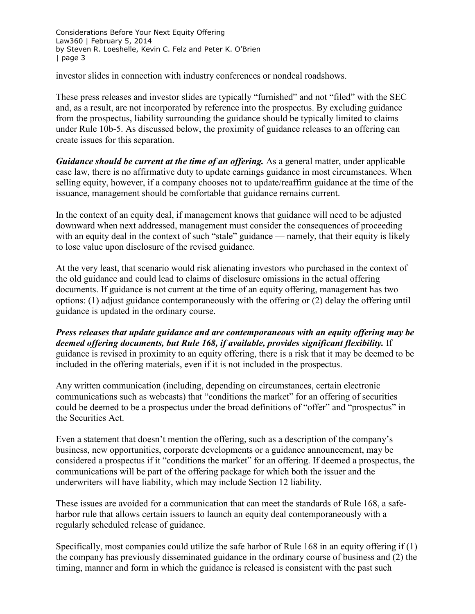investor slides in connection with industry conferences or nondeal roadshows.

These press releases and investor slides are typically "furnished" and not "filed" with the SEC and, as a result, are not incorporated by reference into the prospectus. By excluding guidance from the prospectus, liability surrounding the guidance should be typically limited to claims under Rule 10b-5. As discussed below, the proximity of guidance releases to an offering can create issues for this separation.

*Guidance should be current at the time of an offering.* As a general matter, under applicable case law, there is no affirmative duty to update earnings guidance in most circumstances. When selling equity, however, if a company chooses not to update/reaffirm guidance at the time of the issuance, management should be comfortable that guidance remains current.

In the context of an equity deal, if management knows that guidance will need to be adjusted downward when next addressed, management must consider the consequences of proceeding with an equity deal in the context of such "stale" guidance — namely, that their equity is likely to lose value upon disclosure of the revised guidance.

At the very least, that scenario would risk alienating investors who purchased in the context of the old guidance and could lead to claims of disclosure omissions in the actual offering documents. If guidance is not current at the time of an equity offering, management has two options: (1) adjust guidance contemporaneously with the offering or (2) delay the offering until guidance is updated in the ordinary course.

*Press releases that update guidance and are contemporaneous with an equity offering may be deemed offering documents, but Rule 168, if available, provides significant flexibility.* If guidance is revised in proximity to an equity offering, there is a risk that it may be deemed to be included in the offering materials, even if it is not included in the prospectus.

Any written communication (including, depending on circumstances, certain electronic communications such as webcasts) that "conditions the market" for an offering of securities could be deemed to be a prospectus under the broad definitions of "offer" and "prospectus" in the Securities Act.

Even a statement that doesn't mention the offering, such as a description of the company's business, new opportunities, corporate developments or a guidance announcement, may be considered a prospectus if it "conditions the market" for an offering. If deemed a prospectus, the communications will be part of the offering package for which both the issuer and the underwriters will have liability, which may include Section 12 liability.

These issues are avoided for a communication that can meet the standards of Rule 168, a safeharbor rule that allows certain issuers to launch an equity deal contemporaneously with a regularly scheduled release of guidance.

Specifically, most companies could utilize the safe harbor of Rule 168 in an equity offering if (1) the company has previously disseminated guidance in the ordinary course of business and (2) the timing, manner and form in which the guidance is released is consistent with the past such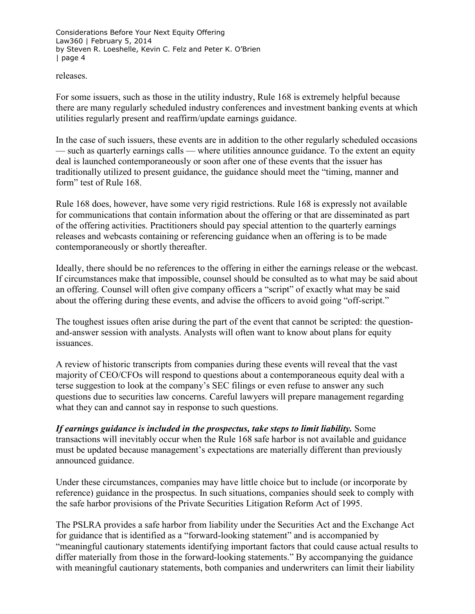releases.

For some issuers, such as those in the utility industry, Rule 168 is extremely helpful because there are many regularly scheduled industry conferences and investment banking events at which utilities regularly present and reaffirm/update earnings guidance.

In the case of such issuers, these events are in addition to the other regularly scheduled occasions — such as quarterly earnings calls — where utilities announce guidance. To the extent an equity deal is launched contemporaneously or soon after one of these events that the issuer has traditionally utilized to present guidance, the guidance should meet the "timing, manner and form" test of Rule 168.

Rule 168 does, however, have some very rigid restrictions. Rule 168 is expressly not available for communications that contain information about the offering or that are disseminated as part of the offering activities. Practitioners should pay special attention to the quarterly earnings releases and webcasts containing or referencing guidance when an offering is to be made contemporaneously or shortly thereafter.

Ideally, there should be no references to the offering in either the earnings release or the webcast. If circumstances make that impossible, counsel should be consulted as to what may be said about an offering. Counsel will often give company officers a "script" of exactly what may be said about the offering during these events, and advise the officers to avoid going "off-script."

The toughest issues often arise during the part of the event that cannot be scripted: the questionand-answer session with analysts. Analysts will often want to know about plans for equity issuances.

A review of historic transcripts from companies during these events will reveal that the vast majority of CEO/CFOs will respond to questions about a contemporaneous equity deal with a terse suggestion to look at the company's SEC filings or even refuse to answer any such questions due to securities law concerns. Careful lawyers will prepare management regarding what they can and cannot say in response to such questions.

*If earnings guidance is included in the prospectus, take steps to limit liability.* Some transactions will inevitably occur when the Rule 168 safe harbor is not available and guidance must be updated because management's expectations are materially different than previously announced guidance.

Under these circumstances, companies may have little choice but to include (or incorporate by reference) guidance in the prospectus. In such situations, companies should seek to comply with the safe harbor provisions of the Private Securities Litigation Reform Act of 1995.

The PSLRA provides a safe harbor from liability under the Securities Act and the Exchange Act for guidance that is identified as a "forward-looking statement" and is accompanied by "meaningful cautionary statements identifying important factors that could cause actual results to differ materially from those in the forward-looking statements." By accompanying the guidance with meaningful cautionary statements, both companies and underwriters can limit their liability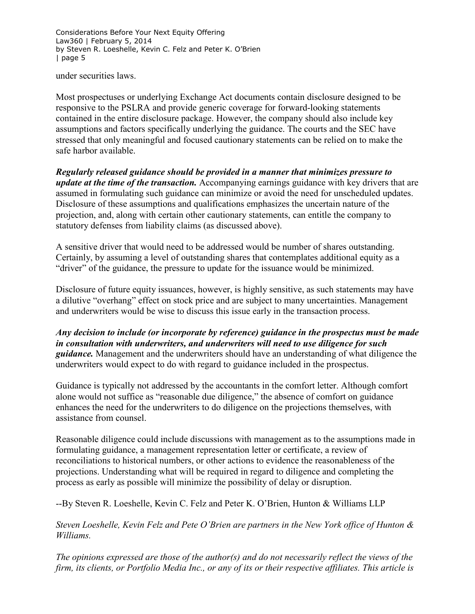under securities laws.

Most prospectuses or underlying Exchange Act documents contain disclosure designed to be responsive to the PSLRA and provide generic coverage for forward-looking statements contained in the entire disclosure package. However, the company should also include key assumptions and factors specifically underlying the guidance. The courts and the SEC have stressed that only meaningful and focused cautionary statements can be relied on to make the safe harbor available.

*Regularly released guidance should be provided in a manner that minimizes pressure to update at the time of the transaction.* Accompanying earnings guidance with key drivers that are assumed in formulating such guidance can minimize or avoid the need for unscheduled updates. Disclosure of these assumptions and qualifications emphasizes the uncertain nature of the projection, and, along with certain other cautionary statements, can entitle the company to statutory defenses from liability claims (as discussed above).

A sensitive driver that would need to be addressed would be number of shares outstanding. Certainly, by assuming a level of outstanding shares that contemplates additional equity as a "driver" of the guidance, the pressure to update for the issuance would be minimized.

Disclosure of future equity issuances, however, is highly sensitive, as such statements may have a dilutive "overhang" effect on stock price and are subject to many uncertainties. Management and underwriters would be wise to discuss this issue early in the transaction process.

*Any decision to include (or incorporate by reference) guidance in the prospectus must be made in consultation with underwriters, and underwriters will need to use diligence for such guidance.* Management and the underwriters should have an understanding of what diligence the underwriters would expect to do with regard to guidance included in the prospectus.

Guidance is typically not addressed by the accountants in the comfort letter. Although comfort alone would not suffice as "reasonable due diligence," the absence of comfort on guidance enhances the need for the underwriters to do diligence on the projections themselves, with assistance from counsel.

Reasonable diligence could include discussions with management as to the assumptions made in formulating guidance, a management representation letter or certificate, a review of reconciliations to historical numbers, or other actions to evidence the reasonableness of the projections. Understanding what will be required in regard to diligence and completing the process as early as possible will minimize the possibility of delay or disruption.

--By Steven R. Loeshelle, Kevin C. Felz and Peter K. O'Brien, [Hunton & Williams LLP](http://www.law360.com/firms/hunton-williams)

*[Steven Loeshelle,](http://www.hunton.com/steven_loeshelle/) [Kevin Felz](http://www.hunton.com/Kevin_Felz/) and [Pete O'Brien](http://www.hunton.com/Peter_OBrien/) are partners in the New York office of Hunton & Williams.*

*The opinions expressed are those of the author(s) and do not necessarily reflect the views of the firm, its clients, or Portfolio Media Inc., or any of its or their respective affiliates. This article is*